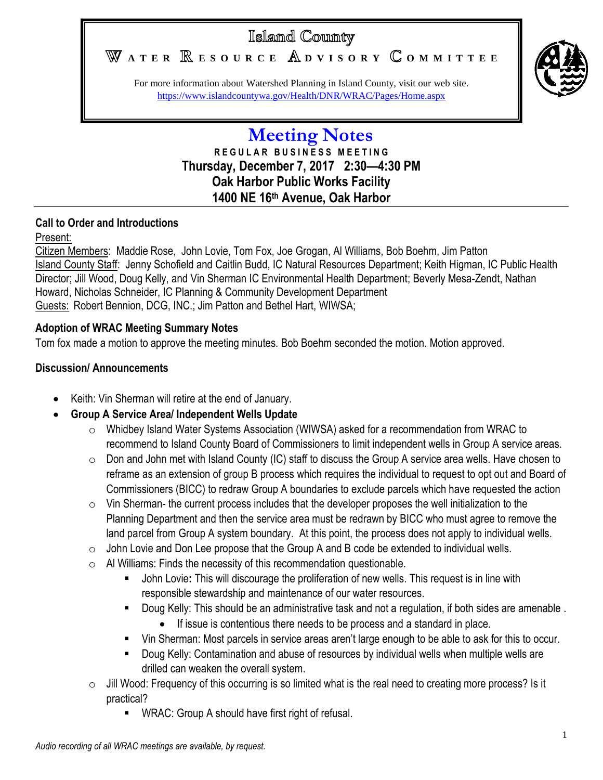# Islamd County

WATER **RESOURCE** ADVISORY COMMITTEE



For more information about Watershed Planning in Island County, visit our web site. <https://www.islandcountywa.gov/Health/DNR/WRAC/Pages/Home.aspx>

# **Meeting Notes R E G U L A R B U S I N E S S M E E T I N G Thursday, December 7, 2017 2:30—4:30 PM Oak Harbor Public Works Facility 1400 NE 16th Avenue, Oak Harbor**

# **Call to Order and Introductions**

# Present:

Citizen Members: Maddie Rose, John Lovie, Tom Fox, Joe Grogan, Al Williams, Bob Boehm, Jim Patton Island County Staff: Jenny Schofield and Caitlin Budd, IC Natural Resources Department; Keith Higman, IC Public Health Director; Jill Wood, Doug Kelly, and Vin Sherman IC Environmental Health Department; Beverly Mesa-Zendt, Nathan Howard, Nicholas Schneider, IC Planning & Community Development Department Guests: Robert Bennion, DCG, INC.; Jim Patton and Bethel Hart, WIWSA;

# **Adoption of WRAC Meeting Summary Notes**

Tom fox made a motion to approve the meeting minutes. Bob Boehm seconded the motion. Motion approved.

# **Discussion/ Announcements**

- Keith: Vin Sherman will retire at the end of January.
- **Group A Service Area/ Independent Wells Update**
	- o Whidbey Island Water Systems Association (WIWSA) asked for a recommendation from WRAC to recommend to Island County Board of Commissioners to limit independent wells in Group A service areas.
	- $\circ$  Don and John met with Island County (IC) staff to discuss the Group A service area wells. Have chosen to reframe as an extension of group B process which requires the individual to request to opt out and Board of Commissioners (BICC) to redraw Group A boundaries to exclude parcels which have requested the action
	- $\circ$  Vin Sherman- the current process includes that the developer proposes the well initialization to the Planning Department and then the service area must be redrawn by BICC who must agree to remove the land parcel from Group A system boundary. At this point, the process does not apply to individual wells.
	- $\circ$  John Lovie and Don Lee propose that the Group A and B code be extended to individual wells.
	- o Al Williams: Finds the necessity of this recommendation questionable.
		- John Lovie**:** This will discourage the proliferation of new wells. This request is in line with responsible stewardship and maintenance of our water resources.
		- Doug Kelly: This should be an administrative task and not a regulation, if both sides are amenable .
			- If issue is contentious there needs to be process and a standard in place.
		- Vin Sherman: Most parcels in service areas aren't large enough to be able to ask for this to occur.
		- Doug Kelly: Contamination and abuse of resources by individual wells when multiple wells are drilled can weaken the overall system.
	- o Jill Wood: Frequency of this occurring is so limited what is the real need to creating more process? Is it practical?
		- **WRAC: Group A should have first right of refusal.**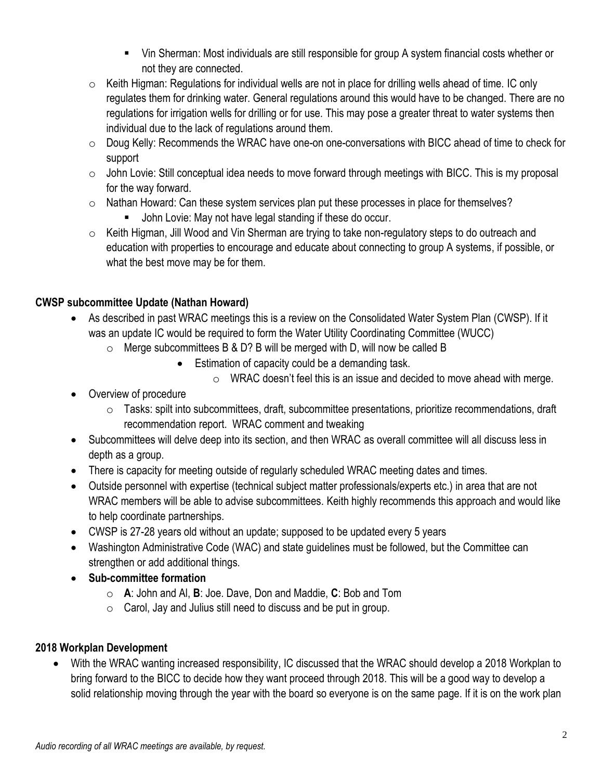- Vin Sherman: Most individuals are still responsible for group A system financial costs whether or not they are connected.
- $\circ$  Keith Higman: Regulations for individual wells are not in place for drilling wells ahead of time. IC only regulates them for drinking water. General regulations around this would have to be changed. There are no regulations for irrigation wells for drilling or for use. This may pose a greater threat to water systems then individual due to the lack of regulations around them.
- $\circ$  Doug Kelly: Recommends the WRAC have one-on one-conversations with BICC ahead of time to check for support
- o John Lovie: Still conceptual idea needs to move forward through meetings with BICC. This is my proposal for the way forward.
- $\circ$  Nathan Howard: Can these system services plan put these processes in place for themselves?
	- John Lovie: May not have legal standing if these do occur.
- o Keith Higman, Jill Wood and Vin Sherman are trying to take non-regulatory steps to do outreach and education with properties to encourage and educate about connecting to group A systems, if possible, or what the best move may be for them.

# **CWSP subcommittee Update (Nathan Howard)**

- As described in past WRAC meetings this is a review on the Consolidated Water System Plan (CWSP). If it was an update IC would be required to form the Water Utility Coordinating Committee (WUCC)
	- $\circ$  Merge subcommittees B & D? B will be merged with D, will now be called B
		- **Estimation of capacity could be a demanding task.** 
			- $\circ$  WRAC doesn't feel this is an issue and decided to move ahead with merge.
- Overview of procedure
	- o Tasks: spilt into subcommittees, draft, subcommittee presentations, prioritize recommendations, draft recommendation report. WRAC comment and tweaking
- Subcommittees will delve deep into its section, and then WRAC as overall committee will all discuss less in depth as a group.
- There is capacity for meeting outside of regularly scheduled WRAC meeting dates and times.
- Outside personnel with expertise (technical subject matter professionals/experts etc.) in area that are not WRAC members will be able to advise subcommittees. Keith highly recommends this approach and would like to help coordinate partnerships.
- CWSP is 27-28 years old without an update; supposed to be updated every 5 years
- Washington Administrative Code (WAC) and state guidelines must be followed, but the Committee can strengthen or add additional things.
- **Sub-committee formation**
	- o **A**: John and Al, **B**: Joe. Dave, Don and Maddie, **C**: Bob and Tom
	- $\circ$  Carol, Jay and Julius still need to discuss and be put in group.

#### **2018 Workplan Development**

 With the WRAC wanting increased responsibility, IC discussed that the WRAC should develop a 2018 Workplan to bring forward to the BICC to decide how they want proceed through 2018. This will be a good way to develop a solid relationship moving through the year with the board so everyone is on the same page. If it is on the work plan